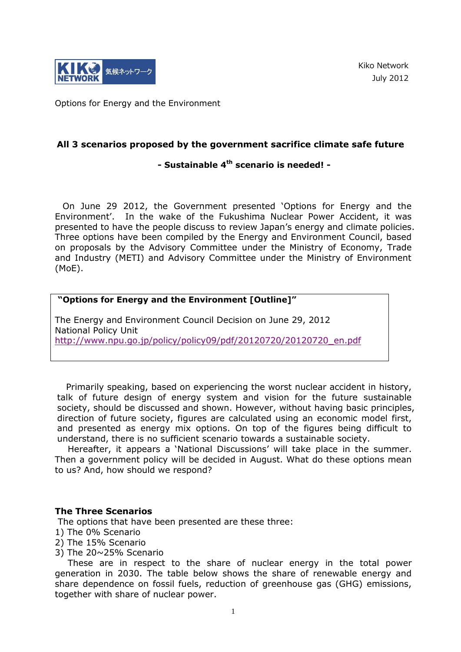

Kiko Network July 2012

Options for Energy and the Environment

## **All 3 scenarios proposed by the government sacrifice climate safe future**

# **- Sustainable 4th scenario is needed! -**

On June 29 2012, the Government presented 'Options for Energy and the Environment'. In the wake of the Fukushima Nuclear Power Accident, it was presented to have the people discuss to review Japan's energy and climate policies. Three options have been compiled by the Energy and Environment Council, based on proposals by the Advisory Committee under the Ministry of Economy, Trade and Industry (METI) and Advisory Committee under the Ministry of Environment (MoE).

#### **"Options for Energy and the Environment [Outline]"**

The Energy and Environment Council Decision on June 29, 2012 National Policy Unit [http://www.npu.go.jp/policy/policy09/pdf/20120720/20120720\\_en.pdf](http://www.npu.go.jp/policy/policy09/pdf/20120720/20120720_en.pdf)

 Primarily speaking, based on experiencing the worst nuclear accident in history, talk of future design of energy system and vision for the future sustainable society, should be discussed and shown. However, without having basic principles, direction of future society, figures are calculated using an economic model first, and presented as energy mix options. On top of the figures being difficult to understand, there is no sufficient scenario towards a sustainable society.

Hereafter, it appears a 'National Discussions' will take place in the summer. Then a government policy will be decided in August. What do these options mean to us? And, how should we respond?

#### **The Three Scenarios**

The options that have been presented are these three:

- 1) The 0% Scenario
- 2) The 15% Scenario
- 3) The 20~25% Scenario

These are in respect to the share of nuclear energy in the total power generation in 2030. The table below shows the share of renewable energy and share dependence on fossil fuels, reduction of greenhouse gas (GHG) emissions, together with share of nuclear power.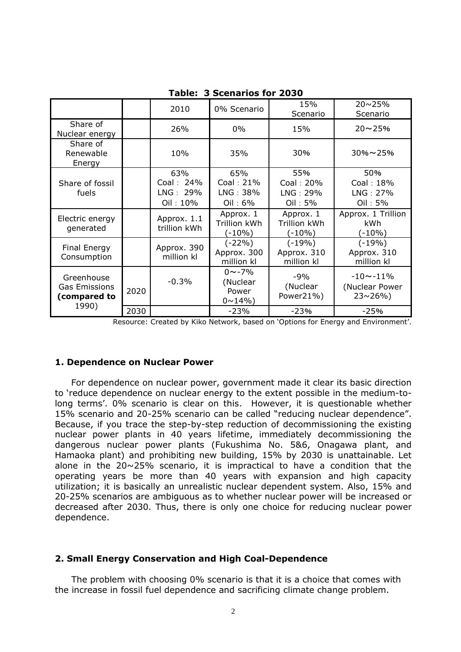|                                                             |      | 2010                                     | 0% Scenario                                         | 15%<br>Scenario                              | $20 \sim 25\%$<br>Scenario                       |
|-------------------------------------------------------------|------|------------------------------------------|-----------------------------------------------------|----------------------------------------------|--------------------------------------------------|
| Share of<br>Nuclear energy                                  |      | 26%                                      | $0\%$                                               | 15%                                          | $20 - 25%$                                       |
| Share of<br>Renewable<br>Energy                             |      | 10%                                      | 35%                                                 | 30%                                          | $30\% \sim 25\%$                                 |
| Share of fossil<br>fuels                                    |      | 63%<br>Coal: 24%<br>LNG: 29%<br>Oil: 10% | 65%<br>Coal: 21%<br>LNG: 38%<br>Oil: $6\%$          | 55%<br>Coal: 20%<br>LNG: 29%<br>Oil: 5%      | 50%<br>Coal: 18%<br>LNG: 27%<br>Oil: 5%          |
| Electric energy<br>generated                                |      | Approx. 1.1<br>trillion kWh              | Approx. 1<br><b>Trillion kWh</b><br>$(-10%)$        | Approx. 1<br><b>Trillion kWh</b><br>$(-10%)$ | Approx. 1 Trillion<br><b>kWh</b><br>$(-10\%)$    |
| <b>Final Energy</b><br>Consumption                          |      | Approx. 390<br>million kl                | $(-22%)$<br>Approx. 300<br>million kl               | $(-19%)$<br>Approx. 310<br>million kl        | $(-19%)$<br>Approx. 310<br>million kl            |
| Greenhouse<br><b>Gas Emissions</b><br>(compared to<br>1990) | 2020 | $-0.3%$                                  | $0 \sim -7\%$<br>(Nuclear<br>Power<br>$0 \sim 14\%$ | $-9%$<br>(Nuclear<br>Power21%)               | $-10 - -11%$<br>(Nuclear Power<br>$23 \sim 26\%$ |
|                                                             | 2030 |                                          | $-23%$                                              | $-23%$                                       | $-25%$                                           |

**Table: 3 Scenarios for 2030**

Resource: Created by Kiko Network, based on 'Options for Energy and Environment'.

## **1. Dependence on Nuclear Power**

For dependence on nuclear power, government made it clear its basic direction to 'reduce dependence on nuclear energy to the extent possible in the medium-tolong terms'. 0% scenario is clear on this. However, it is questionable whether 15% scenario and 20-25% scenario can be called "reducing nuclear dependence". Because, if you trace the step-by-step reduction of decommissioning the existing nuclear power plants in 40 years lifetime, immediately decommissioning the dangerous nuclear power plants (Fukushima No. 5&6, Onagawa plant, and Hamaoka plant) and prohibiting new building, 15% by 2030 is unattainable. Let alone in the 20~25% scenario, it is impractical to have a condition that the operating years be more than 40 years with expansion and high capacity utilization; it is basically an unrealistic nuclear dependent system. Also, 15% and 20-25% scenarios are ambiguous as to whether nuclear power will be increased or decreased after 2030. Thus, there is only one choice for reducing nuclear power dependence.

## **2. Small Energy Conservation and High Coal-Dependence**

The problem with choosing 0% scenario is that it is a choice that comes with the increase in fossil fuel dependence and sacrificing climate change problem.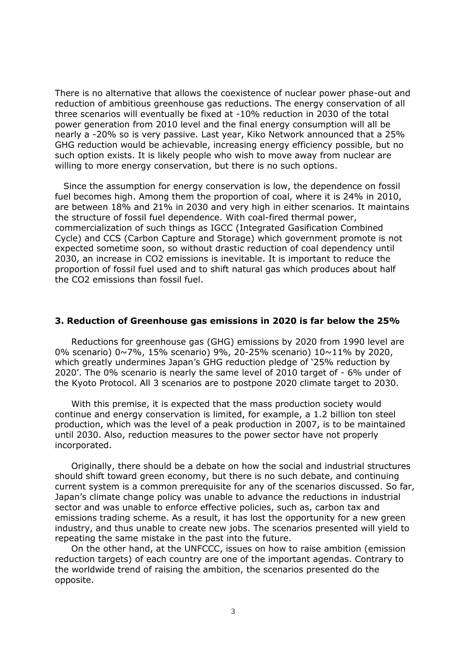There is no alternative that allows the coexistence of nuclear power phase-out and reduction of ambitious greenhouse gas reductions. The energy conservation of all three scenarios will eventually be fixed at -10% reduction in 2030 of the total power generation from 2010 level and the final energy consumption will all be nearly a -20% so is very passive. Last year, Kiko Network announced that a 25% GHG reduction would be achievable, increasing energy efficiency possible, but no such option exists. It is likely people who wish to move away from nuclear are willing to more energy conservation, but there is no such options.

Since the assumption for energy conservation is low, the dependence on fossil fuel becomes high. Among them the proportion of coal, where it is 24% in 2010, are between 18% and 21% in 2030 and very high in either scenarios. It maintains the structure of fossil fuel dependence. With coal-fired thermal power, commercialization of such things as IGCC (Integrated Gasification Combined Cycle) and CCS (Carbon Capture and Storage) which government promote is not expected sometime soon, so without drastic reduction of coal dependency until 2030, an increase in CO2 emissions is inevitable. It is important to reduce the proportion of fossil fuel used and to shift natural gas which produces about half the CO2 emissions than fossil fuel.

#### **3. Reduction of Greenhouse gas emissions in 2020 is far below the 25%**

Reductions for greenhouse gas (GHG) emissions by 2020 from 1990 level are 0% scenario) 0~7%, 15% scenario) 9%, 20-25% scenario) 10~11% by 2020, which greatly undermines Japan's GHG reduction pledge of '25% reduction by 2020'. The 0% scenario is nearly the same level of 2010 target of - 6% under of the Kyoto Protocol. All 3 scenarios are to postpone 2020 climate target to 2030.

With this premise, it is expected that the mass production society would continue and energy conservation is limited, for example, a 1.2 billion ton steel production, which was the level of a peak production in 2007, is to be maintained until 2030. Also, reduction measures to the power sector have not properly incorporated.

Originally, there should be a debate on how the social and industrial structures should shift toward green economy, but there is no such debate, and continuing current system is a common prerequisite for any of the scenarios discussed. So far, Japan's climate change policy was unable to advance the reductions in industrial sector and was unable to enforce effective policies, such as, carbon tax and emissions trading scheme. As a result, it has lost the opportunity for a new green industry, and thus unable to create new jobs. The scenarios presented will yield to repeating the same mistake in the past into the future.

On the other hand, at the UNFCCC, issues on how to raise ambition (emission reduction targets) of each country are one of the important agendas. Contrary to the worldwide trend of raising the ambition, the scenarios presented do the opposite.